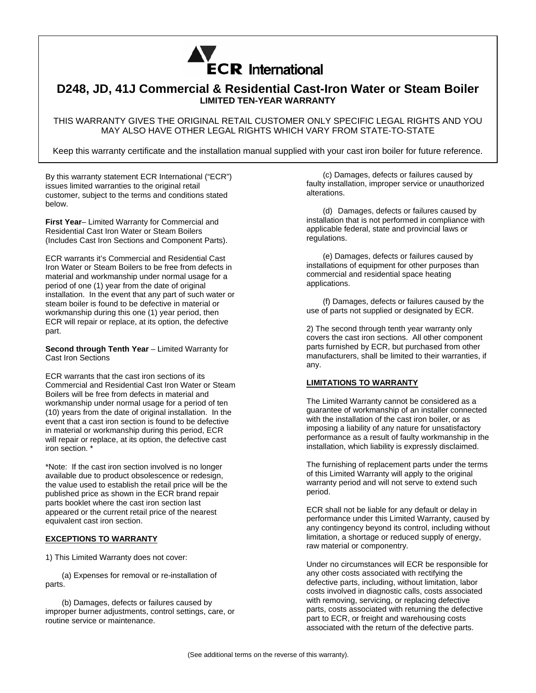

## **D248, JD, 41J Commercial & Residential Cast-Iron Water or Steam Boiler LIMITED TEN-YEAR WARRANTY**

THIS WARRANTY GIVES THE ORIGINAL RETAIL CUSTOMER ONLY SPECIFIC LEGAL RIGHTS AND YOU MAY ALSO HAVE OTHER LEGAL RIGHTS WHICH VARY FROM STATE-TO-STATE

Keep this warranty certificate and the installation manual supplied with your cast iron boiler for future reference.

By this warranty statement ECR International ("ECR") issues limited warranties to the original retail customer, subject to the terms and conditions stated below.

**First Year**– Limited Warranty for Commercial and Residential Cast Iron Water or Steam Boilers (Includes Cast Iron Sections and Component Parts).

ECR warrants it's Commercial and Residential Cast Iron Water or Steam Boilers to be free from defects in material and workmanship under normal usage for a period of one (1) year from the date of original installation. In the event that any part of such water or steam boiler is found to be defective in material or workmanship during this one (1) year period, then ECR will repair or replace, at its option, the defective part.

**Second through Tenth Year** – Limited Warranty for Cast Iron Sections

ECR warrants that the cast iron sections of its Commercial and Residential Cast Iron Water or Steam Boilers will be free from defects in material and workmanship under normal usage for a period of ten (10) years from the date of original installation. In the event that a cast iron section is found to be defective in material or workmanship during this period, ECR will repair or replace, at its option, the defective cast iron section. \*

\*Note: If the cast iron section involved is no longer available due to product obsolescence or redesign, the value used to establish the retail price will be the published price as shown in the ECR brand repair parts booklet where the cast iron section last appeared or the current retail price of the nearest equivalent cast iron section.

## **EXCEPTIONS TO WARRANTY**

1) This Limited Warranty does not cover:

(a) Expenses for removal or re-installation of parts.

(b) Damages, defects or failures caused by improper burner adjustments, control settings, care, or routine service or maintenance.

(c) Damages, defects or failures caused by faulty installation, improper service or unauthorized alterations.

(d) Damages, defects or failures caused by installation that is not performed in compliance with applicable federal, state and provincial laws or regulations.

(e) Damages, defects or failures caused by installations of equipment for other purposes than commercial and residential space heating applications.

(f) Damages, defects or failures caused by the use of parts not supplied or designated by ECR.

2) The second through tenth year warranty only covers the cast iron sections. All other component parts furnished by ECR, but purchased from other manufacturers, shall be limited to their warranties, if any.

## **LIMITATIONS TO WARRANTY**

The Limited Warranty cannot be considered as a guarantee of workmanship of an installer connected with the installation of the cast iron boiler, or as imposing a liability of any nature for unsatisfactory performance as a result of faulty workmanship in the installation, which liability is expressly disclaimed.

The furnishing of replacement parts under the terms of this Limited Warranty will apply to the original warranty period and will not serve to extend such period.

ECR shall not be liable for any default or delay in performance under this Limited Warranty, caused by any contingency beyond its control, including without limitation, a shortage or reduced supply of energy, raw material or componentry.

Under no circumstances will ECR be responsible for any other costs associated with rectifying the defective parts, including, without limitation, labor costs involved in diagnostic calls, costs associated with removing, servicing, or replacing defective parts, costs associated with returning the defective part to ECR, or freight and warehousing costs associated with the return of the defective parts.